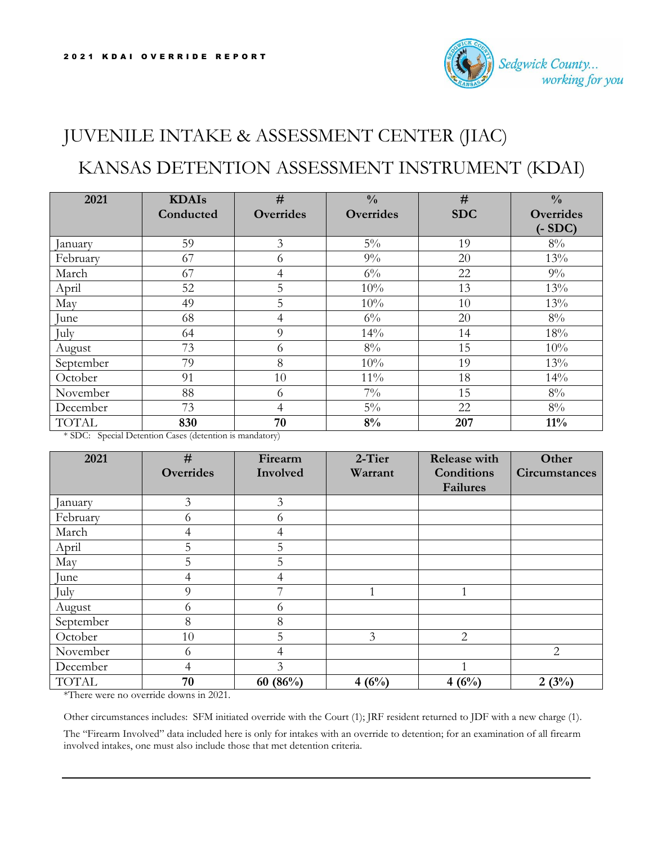

## JUVENILE INTAKE & ASSESSMENT CENTER (JIAC) KANSAS DETENTION ASSESSMENT INSTRUMENT (KDAI)

| 2021         | <b>KDAIs</b> | #              | $\frac{0}{0}$    | #          | $\frac{0}{0}$    |
|--------------|--------------|----------------|------------------|------------|------------------|
|              | Conducted    | Overrides      | <b>Overrides</b> | <b>SDC</b> | <b>Overrides</b> |
|              |              |                |                  |            | $(-SDC)$         |
| anuary       | 59           | $\mathfrak{Z}$ | $5\%$            | 19         | $8\%$            |
| February     | 67           | 6              | $9\%$            | 20         | 13%              |
| March        | 67           | 4              | $6\%$            | 22         | $9\%$            |
| April        | 52           | 5              | 10%              | 13         | 13%              |
| May          | 49           | 5              | 10%              | 10         | 13%              |
| lune         | 68           | 4              | $6\%$            | 20         | $8\%$            |
| July         | 64           | 9              | 14%              | 14         | 18%              |
| August       | 73           | 6              | $8\%$            | 15         | 10%              |
| September    | 79           | 8              | 10%              | 19         | 13%              |
| October      | 91           | 10             | $11\%$           | 18         | 14%              |
| November     | 88           | 6              | $7\%$            | 15         | $8\%$            |
| December     | 73           | 4              | $5\%$            | 22         | $8\%$            |
| <b>TOTAL</b> | 830          | 70             | 8%               | 207        | $11\%$           |

\* SDC: Special Detention Cases (detention is mandatory)

| 2021         | #                | Firearm        | 2-Tier         | <b>Release with</b> | Other                |
|--------------|------------------|----------------|----------------|---------------------|----------------------|
|              | <b>Overrides</b> | Involved       | Warrant        | Conditions          | <b>Circumstances</b> |
|              |                  |                |                | <b>Failures</b>     |                      |
| anuary       | $\overline{3}$   | $\mathfrak{Z}$ |                |                     |                      |
| February     | 6                | 6              |                |                     |                      |
| March        | 4                | 4              |                |                     |                      |
| April        | 5                | 5              |                |                     |                      |
| May          | 5                | 5              |                |                     |                      |
| June         | 4                | 4              |                |                     |                      |
| July         | 9                |                |                |                     |                      |
| August       | 6                | 6              |                |                     |                      |
| September    | 8                | 8              |                |                     |                      |
| October      | 10               | 5              | $\overline{3}$ | 2                   |                      |
| November     | 6                | 4              |                |                     | $\overline{2}$       |
| December     | 4                | 3              |                |                     |                      |
| <b>TOTAL</b> | 70               | 60 $(86%)$     | 4(6%)          | 4(6%)               | 2(3%)                |

\*There were no override downs in 2021.

Other circumstances includes: SFM initiated override with the Court (1); JRF resident returned to JDF with a new charge (1).

The "Firearm Involved" data included here is only for intakes with an override to detention; for an examination of all firearm involved intakes, one must also include those that met detention criteria.